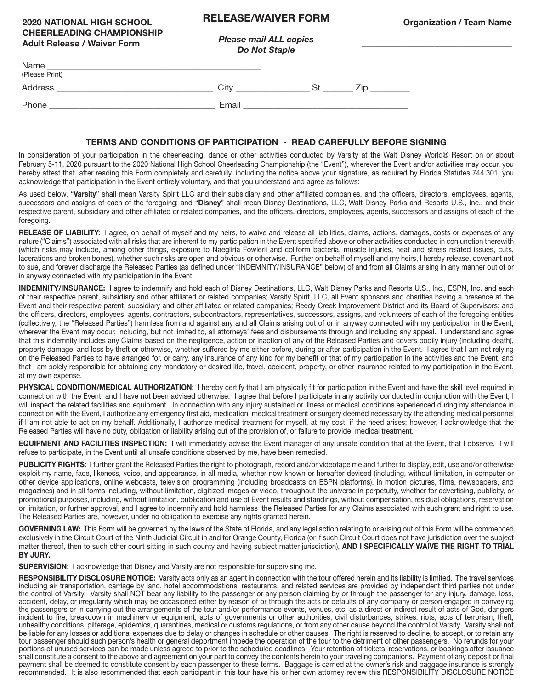## **RELEASE/WAIVER FORM**

**\_\_\_\_\_\_\_\_\_\_\_\_\_\_\_\_\_\_\_\_\_\_\_\_\_\_\_\_\_\_\_**

## **2020 NATIONAL HIGH SCHOOL CHEERLEADING CHAMPIONSHIP Adult Release / Waiver Form**

*Please mail ALL copies Do Not Staple* 

| Name<br>(Please Print) |       |     |
|------------------------|-------|-----|
| Address                | City  | 7ir |
| Phone                  | Email |     |

## **TERMS AND CONDITIONS OF PARTICIPATION - READ CAREFULLY BEFORE SIGNING**

In consideration of your participation in the cheerleading, dance or other activities conducted by Varsity at the Walt Disney World® Resort on or about February 5-11, 2020 pursuant to the 2020 National High School Cheerleading Championship (the "Event"), wherever the Event and/or activities may occur, you hereby attest that, after reading this Form completely and carefully, including the notice above your signature, as required by Florida Statutes 744.301, you acknowledge that participation in the Event entirely voluntary, and that you understand and agree as follows:

As used below, "**Varsity**" shall mean Varsity Spirit LLC and their subsidiary and other affiliated companies, and the officers, directors, employees, agents, successors and assigns of each of the foregoing; and "**Disney**" shall mean Disney Destinations, LLC, Walt Disney Parks and Resorts U.S., Inc., and their respective parent, subsidiary and other affiliated or related companies, and the officers, directors, employees, agents, successors and assigns of each of the foregoing.

RELEASE OF LIABILITY: I agree, on behalf of myself and my heirs, to waive and release all liabilities, claims, actions, damages, costs or expenses of any nature ("Claims") associated with all risks that are inherent to my participation in the Event specified above or other activities conducted in conjunction therewith (which risks may include, among other things, exposure to Naegliria Fowlerii and coliform bacteria, muscle injuries, heat and stress related issues, cuts, lacerations and broken bones), whether such risks are open and obvious or otherwise. Further on behalf of myself and my heirs, I hereby release, covenant not to sue, and forever discharge the Released Parties (as defined under "INDEMNITY/INSURANCE" below) of and from all Claims arising in any manner out of or in anyway connected with my participation in the Event.

**INDEMNITY/INSURANCE:** I agree to indemnify and hold each of Disney Destinations, LLC, Walt Disney Parks and Resorts U.S., Inc., ESPN, Inc. and each of their respective parent, subsidiary and other affiliated or related companies; Varsity Spirit, LLC, all Event sponsors and charities having a presence at the Event and their respective parent, subsidiary and other affiliated or related companies; Reedy Creek Improvement District and its Board of Supervisors; and the officers, directors, employees, agents, contractors, subcontractors, representatives, successors, assigns, and volunteers of each of the foregoing entities (collectively, the "Released Parties") harmless from and against any and all Claims arising out of or in anyway connected with my participation in the Event, wherever the Event may occur, including, but not limited to, all attorneys' fees and disbursements through and including any appeal. I understand and agree that this indemnity includes any Claims based on the negligence, action or inaction of any of the Released Parties and covers bodily injury (including death), property damage, and loss by theft or otherwise, whether suffered by me either before, during or after participation in the Event. I agree that I am not relying on the Released Parties to have arranged for, or carry, any insurance of any kind for my benefit or that of my participation in the activities and the Event, and that I am solely responsible for obtaining any mandatory or desired life, travel, accident, property, or other insurance related to my participation in the Event, at my own expense.

PHYSICAL CONDITION/MEDICAL AUTHORIZATION: I hereby certify that I am physically fit for participation in the Event and have the skill level required in connection with the Event, and I have not been advised otherwise. I agree that before I participate in any activity conducted in conjunction with the Event, I will inspect the related facilities and equipment. In connection with any injury sustained or illness or medical conditions experienced during my attendance in connection with the Event, I authorize any emergency first aid, medication, medical treatment or surgery deemed necessary by the attending medical personnel if I am not able to act on my behalf. Additionally, I authorize medical treatment for myself, at my cost, if the need arises; however, I acknowledge that the Released Parties will have no duty, obligation or liability arising out of the provision of, or failure to provide, medical treatment.

**EQUIPMENT AND FACILITIES INSPECTION:** I will immediately advise the Event manager of any unsafe condition that at the Event, that I observe. I will refuse to participate, in the Event until all unsafe conditions observed by me, have been remedied.

**PUBLICITY RIGHTS:** I further grant the Released Parties the right to photograph, record and/or videotape me and further to display, edit, use and/or otherwise exploit my name, face, likeness, voice, and appearance, in all media, whether now known or hereafter devised (including, without limitation, in computer or other device applications, online webcasts, television programming (including broadcasts on ESPN platforms), in motion pictures, films, newspapers, and magazines) and in all forms including, without limitation, digitized images or video, throughout the universe in perpetuity, whether for advertising, publicity, or promotional purposes, including, without limitation, publication and use of Event results and standings, without compensation, residual obligations, reservation or limitation, or further approval, and I agree to indemnify and hold harmless the Released Parties for any Claims associated with such grant and right to use. The Released Parties are, however, under no obligation to exercise any rights granted herein.

**GOVERNING LAW:** This Form will be governed by the laws of the State of Florida, and any legal action relating to or arising out of this Form will be commenced exclusively in the Circuit Court of the Ninth Judicial Circuit in and for Orange County, Florida (or if such Circuit Court does not have jurisdiction over the subject matter thereof, then to such other court sitting in such county and having subject matter jurisdiction), **AND I SPECIFICALLY WAIVE THE RIGHT TO TRIAL BY JURY.**

**SUPERVISION:** I acknowledge that Disney and Varsity are not responsible for supervising me.

**RESPONSIBILITY DISCLOSURE NOTICE:** Varsity acts only as an agent in connection with the tour offered herein and its liability is limited. The travel services including air transportation, carriage by land, hotel accommodations, restaurants, and related services are provided by independent third parties not under the control of Varsity. Varsity shall NOT bear any liability to the passenger or any person claiming by or through the passenger for any injury, damage, loss, accident, delay, or irregularity which may be occasioned either by reason of or through the acts or defaults of any company or person engaged in conveying the passengers or in carrying out the arrangements of the tour and/or performance events, venues, etc. as a direct or indirect result of acts of God, dangers incident to fire, breakdown in machinery or equipment, acts of governments or other authorities, civil disturbances, strikes, riots, acts of terrorism, theft, unhealthy conditions, pilferage, epidemics, quarantines, medical or customs regulations, or from any other cause beyond the control of Varsity. Varsity shall not be liable for any losses or additional expenses due to delay or changes in schedule or other causes. The right is reserved to decline, to accept, or to retain any tour passenger should such person's health or general deportment impede the operation of the tour to the detriment of other passengers. No refunds for your portions of unused services can be made unless agreed to prior to the scheduled deadlines. Your retention of tickets, reservations, or bookings after issuance shall constitute a consent to the above and agreement on your part to convey the contents herein to your traveling companions. Payment of any deposit or final payment shall be deemed to constitute consent by each passenger to these terms. Baggage is carried at the owner's risk and baggage insurance is strongly recommended. It is also recommended that each participant in this tour have his or her own attorney review this RESPONSIBILITY DISCLOSURE NOTICE